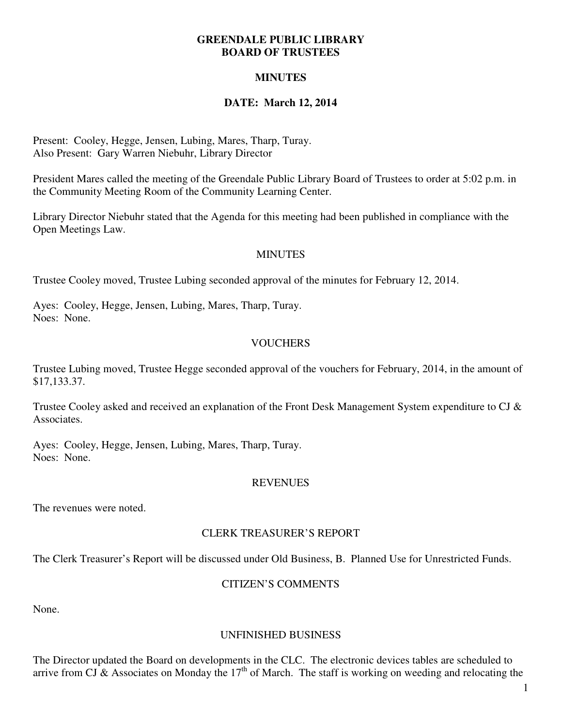### **GREENDALE PUBLIC LIBRARY BOARD OF TRUSTEES**

# **MINUTES**

# **DATE: March 12, 2014**

Present: Cooley, Hegge, Jensen, Lubing, Mares, Tharp, Turay. Also Present: Gary Warren Niebuhr, Library Director

President Mares called the meeting of the Greendale Public Library Board of Trustees to order at 5:02 p.m. in the Community Meeting Room of the Community Learning Center.

Library Director Niebuhr stated that the Agenda for this meeting had been published in compliance with the Open Meetings Law.

### **MINUTES**

Trustee Cooley moved, Trustee Lubing seconded approval of the minutes for February 12, 2014.

Ayes: Cooley, Hegge, Jensen, Lubing, Mares, Tharp, Turay. Noes: None.

# **VOUCHERS**

Trustee Lubing moved, Trustee Hegge seconded approval of the vouchers for February, 2014, in the amount of \$17,133.37.

Trustee Cooley asked and received an explanation of the Front Desk Management System expenditure to CJ & Associates.

Ayes: Cooley, Hegge, Jensen, Lubing, Mares, Tharp, Turay. Noes: None.

### REVENUES

The revenues were noted.

### CLERK TREASURER'S REPORT

The Clerk Treasurer's Report will be discussed under Old Business, B. Planned Use for Unrestricted Funds.

# CITIZEN'S COMMENTS

None.

### UNFINISHED BUSINESS

The Director updated the Board on developments in the CLC. The electronic devices tables are scheduled to arrive from CJ & Associates on Monday the 17<sup>th</sup> of March. The staff is working on weeding and relocating the

1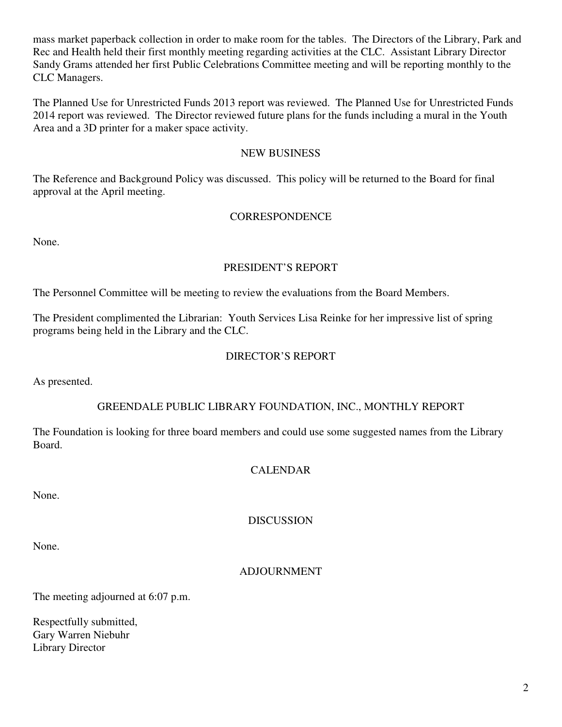mass market paperback collection in order to make room for the tables. The Directors of the Library, Park and Rec and Health held their first monthly meeting regarding activities at the CLC. Assistant Library Director Sandy Grams attended her first Public Celebrations Committee meeting and will be reporting monthly to the CLC Managers.

The Planned Use for Unrestricted Funds 2013 report was reviewed. The Planned Use for Unrestricted Funds 2014 report was reviewed. The Director reviewed future plans for the funds including a mural in the Youth Area and a 3D printer for a maker space activity.

### NEW BUSINESS

The Reference and Background Policy was discussed. This policy will be returned to the Board for final approval at the April meeting.

# **CORRESPONDENCE**

None.

# PRESIDENT'S REPORT

The Personnel Committee will be meeting to review the evaluations from the Board Members.

The President complimented the Librarian: Youth Services Lisa Reinke for her impressive list of spring programs being held in the Library and the CLC.

# DIRECTOR'S REPORT

As presented.

# GREENDALE PUBLIC LIBRARY FOUNDATION, INC., MONTHLY REPORT

The Foundation is looking for three board members and could use some suggested names from the Library Board.

# CALENDAR

None.

### DISCUSSION

None.

# ADJOURNMENT

The meeting adjourned at 6:07 p.m.

Respectfully submitted, Gary Warren Niebuhr Library Director